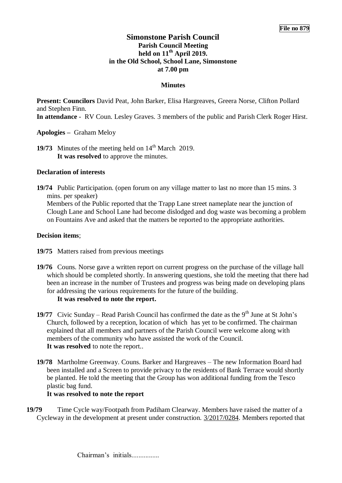# **Simonstone Parish Council Parish Council Meeting held on 11th April 2019. in the Old School, School Lane, Simonstone at 7.00 pm**

## **Minutes**

**Present: Councilors** David Peat, John Barker, Elisa Hargreaves, Greera Norse, Clifton Pollard and Stephen Finn.

**In attendance** - RV Coun. Lesley Graves. 3 members of the public and Parish Clerk Roger Hirst.

**Apologies –** Graham Meloy

**19/73** Minutes of the meeting held on  $14<sup>th</sup>$  March 2019. **It was resolved** to approve the minutes.

### **Declaration of interests**

**19/74** Public Participation. (open forum on any village matter to last no more than 15 mins. 3 mins. per speaker) Members of the Public reported that the Trapp Lane street nameplate near the junction of Clough Lane and School Lane had become dislodged and dog waste was becoming a problem on Fountains Ave and asked that the matters be reported to the appropriate authorities.

### **Decision items**;

- **19/75** Matters raised from previous meetings
- **19/76** Couns. Norse gave a written report on current progress on the purchase of the village hall which should be completed shortly. In answering questions, she told the meeting that there had been an increase in the number of Trustees and progress was being made on developing plans for addressing the various requirements for the future of the building. **It was resolved to note the report.**
- **19/77** Civic Sunday Read Parish Council has confirmed the date as the  $9<sup>th</sup>$  June at St John's Church, followed by a reception, location of which has yet to be confirmed. The chairman explained that all members and partners of the Parish Council were welcome along with members of the community who have assisted the work of the Council. **It was resolved** to note the report..
- **19/78** Martholme Greenway. Couns. Barker and Hargreaves The new Information Board had been installed and a Screen to provide privacy to the residents of Bank Terrace would shortly be planted. He told the meeting that the Group has won additional funding from the Tesco plastic bag fund.

### **It was resolved to note the report**

**19/79** Time Cycle way/Footpath from Padiham Clearway. Members have raised the matter of a Cycleway in the development at present under construction. [3/2017/0284.](https://www.ribblevalley.gov.uk/planningApplication/28302) Members reported that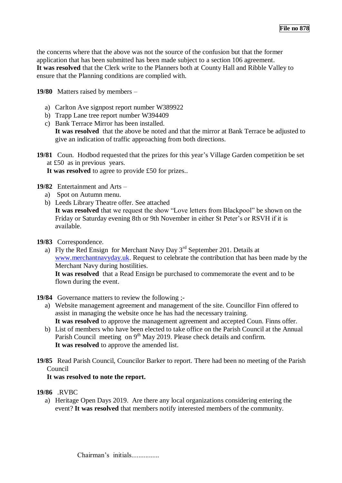the concerns where that the above was not the source of the confusion but that the former application that has been submitted has been made subject to a section 106 agreement. **It was resolved** that the Clerk write to the Planners both at County Hall and Ribble Valley to ensure that the Planning conditions are complied with.

**19/80** Matters raised by members –

- a) Carlton Ave signpost report number W389922
- b) Trapp Lane tree report number W394409
- c) Bank Terrace Mirror has been installed. **It was resolved** that the above be noted and that the mirror at Bank Terrace be adjusted to give an indication of traffic approaching from both directions.
- **19/81** Coun. Hodbod requested that the prizes for this year's Village Garden competition be set at £50 as in previous years.

**It was resolved** to agree to provide £50 for prizes..

**19/82** Entertainment and Arts –

- a) Spot on Autumn menu.
- b) Leeds Library Theatre offer. See attached

**It was resolved** that we request the show "Love letters from Blackpool" be shown on the Friday or Saturday evening 8th or 9th November in either St Peter's or RSVH if it is available.

- **19/83** Correspondence.
	- a) Fly the Red Ensign for Merchant Navy Day  $3<sup>rd</sup>$  September 201. Details at [www.merchantnavyday.uk.](http://www.merchantnavyday.uk/) Request to celebrate the contribution that has been made by the Merchant Navy during hostilities.

**It was resolved** that a Read Ensign be purchased to commemorate the event and to be flown during the event.

- **19/84** Governance matters to review the following ;
	- a) Website management agreement and management of the site. Councillor Finn offered to assist in managing the website once he has had the necessary training. **It was resolved** to approve the management agreement and accepted Coun. Finns offer.
	- b) List of members who have been elected to take office on the Parish Council at the Annual Parish Council meeting on  $9<sup>th</sup>$  May 2019. Please check details and confirm. **It was resolved** to approve the amended list.
- **19/85** Read Parish Council, Councilor Barker to report. There had been no meeting of the Parish Council

# **It was resolved to note the report.**

# **19/86** .RVBC

a) Heritage Open Days 2019. Are there any local organizations considering entering the event? **It was resolved** that members notify interested members of the community.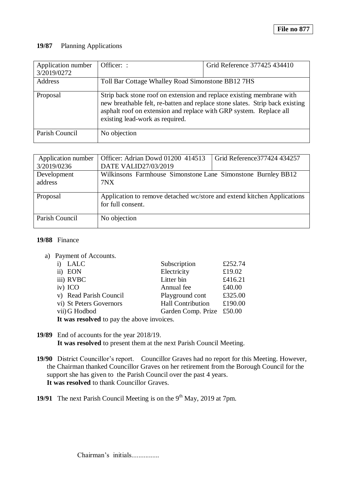### **19/87** Planning Applications

| Application number<br>3/2019/0272 | Officer: :                                                                                                                                                                                                                                                     | Grid Reference 377425 434410 |  |
|-----------------------------------|----------------------------------------------------------------------------------------------------------------------------------------------------------------------------------------------------------------------------------------------------------------|------------------------------|--|
| Address                           | Toll Bar Cottage Whalley Road Simonstone BB12 7HS                                                                                                                                                                                                              |                              |  |
| Proposal                          | Strip back stone roof on extension and replace existing membrane with<br>new breathable felt, re-batten and replace stone slates. Strip back existing<br>asphalt roof on extension and replace with GRP system. Replace all<br>existing lead-work as required. |                              |  |
| Parish Council                    | No objection                                                                                                                                                                                                                                                   |                              |  |

| Application number | Officer: Adrian Dowd 01200 414513                                       | Grid Reference 377424 434257 |  |
|--------------------|-------------------------------------------------------------------------|------------------------------|--|
| 3/2019/0236        | DATE VALID27/03/2019                                                    |                              |  |
| Development        | Wilkinsons Farmhouse Simonstone Lane Simonstone Burnley BB12            |                              |  |
| address            | 7NX                                                                     |                              |  |
|                    |                                                                         |                              |  |
| Proposal           | Application to remove detached wc/store and extend kitchen Applications |                              |  |
|                    | for full consent.                                                       |                              |  |
|                    |                                                                         |                              |  |
| Parish Council     | No objection                                                            |                              |  |
|                    |                                                                         |                              |  |

#### **19/88** Finance

a) Payment of Accounts.

| i) LALC                                    | Subscription              | £252.74 |  |  |
|--------------------------------------------|---------------------------|---------|--|--|
| ii) EON                                    | Electricity               | £19.02  |  |  |
| iii) RVBC                                  | Litter bin                | £416.21 |  |  |
| iv) ICO                                    | Annual fee                | £40.00  |  |  |
| v) Read Parish Council                     | Playground cont           | £325.00 |  |  |
| vi) St Peters Governors                    | <b>Hall Contribution</b>  | £190.00 |  |  |
| vii) G Hodbod                              | Garden Comp. Prize £50.00 |         |  |  |
| It was resolved to pay the above invoices. |                           |         |  |  |

**19/89** End of accounts for the year 2018/19.

**It was resolved** to present them at the next Parish Council Meeting.

**19/90** District Councillor's report. Councillor Graves had no report for this Meeting. However, the Chairman thanked Councillor Graves on her retirement from the Borough Council for the support she has given to the Parish Council over the past 4 years. **It was resolved** to thank Councillor Graves.

**19/91** The next Parish Council Meeting is on the  $9<sup>th</sup>$  May, 2019 at 7pm.